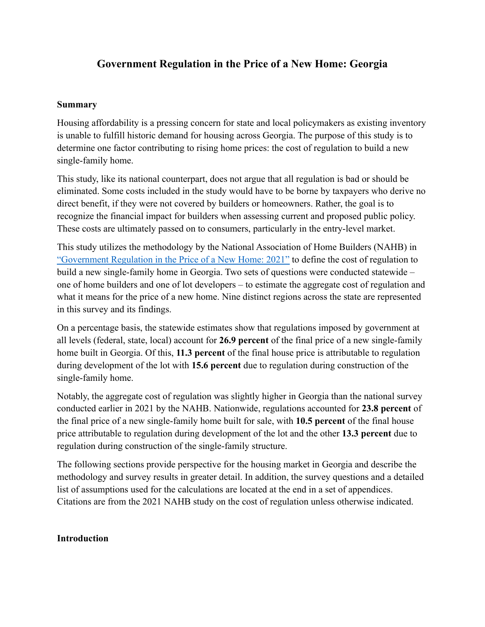### **Summary**

Housing affordability is a pressing concern for state and local policymakers as existing inventory is unable to fulfill historic demand for housing across Georgia. The purpose of this study is to determine one factor contributing to rising home prices: the cost of regulation to build a new single-family home.

This study, like its national counterpart, does not argue that all regulation is bad or should be eliminated. Some costs included in the study would have to be borne by taxpayers who derive no direct benefit, if they were not covered by builders or homeowners. Rather, the goal is to recognize the financial impact for builders when assessing current and proposed public policy. These costs are ultimately passed on to consumers, particularly in the entry-level market.

This study utilizes the methodology by the National Association of Home Builders (NAHB) in ["Government Regulation in the Price of a New Home: 2021"](https://www.nahb.org/-/media/NAHB/news-and-economics/docs/housing-economics-plus/special-studies/2021/special-study-government-regulation-in-the-price-of-a-new-home-may-2021.pdf) to define the cost of regulation to build a new single-family home in Georgia. Two sets of questions were conducted statewide – one of home builders and one of lot developers – to estimate the aggregate cost of regulation and what it means for the price of a new home. Nine distinct regions across the state are represented in this survey and its findings.

On a percentage basis, the statewide estimates show that regulations imposed by government at all levels (federal, state, local) account for **26.9 percent** of the final price of a new single-family home built in Georgia. Of this, **11.3 percent** of the final house price is attributable to regulation during development of the lot with **15.6 percent** due to regulation during construction of the single-family home.

Notably, the aggregate cost of regulation was slightly higher in Georgia than the national survey conducted earlier in 2021 by the NAHB. Nationwide, regulations accounted for **23.8 percent** of the final price of a new single-family home built for sale, with **10.5 percent** of the final house price attributable to regulation during development of the lot and the other **13.3 percent** due to regulation during construction of the single-family structure.

The following sections provide perspective for the housing market in Georgia and describe the methodology and survey results in greater detail. In addition, the survey questions and a detailed list of assumptions used for the calculations are located at the end in a set of appendices. Citations are from the 2021 NAHB study on the cost of regulation unless otherwise indicated.

#### **Introduction**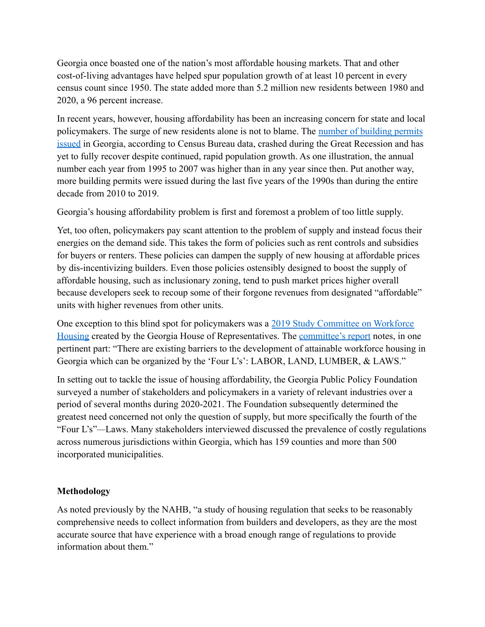Georgia once boasted one of the nation's most affordable housing markets. That and other cost-of-living advantages have helped spur population growth of at least 10 percent in every census count since 1950. The state added more than 5.2 million new residents between 1980 and 2020, a 96 percent increase.

In recent years, however, housing affordability has been an increasing concern for state and local policymakers. The surge of new residents alone is not to blame. The [number of building permits](https://www.census.gov/construction/bps/statemonthly.html) [issued](https://www.census.gov/construction/bps/statemonthly.html) in Georgia, according to Census Bureau data, crashed during the Great Recession and has yet to fully recover despite continued, rapid population growth. As one illustration, the annual number each year from 1995 to 2007 was higher than in any year since then. Put another way, more building permits were issued during the last five years of the 1990s than during the entire decade from 2010 to 2019.

Georgia's housing affordability problem is first and foremost a problem of too little supply.

Yet, too often, policymakers pay scant attention to the problem of supply and instead focus their energies on the demand side. This takes the form of policies such as rent controls and subsidies for buyers or renters. These policies can dampen the supply of new housing at affordable prices by dis-incentivizing builders. Even those policies ostensibly designed to boost the supply of affordable housing, such as inclusionary zoning, tend to push market prices higher overall because developers seek to recoup some of their forgone revenues from designated "affordable" units with higher revenues from other units.

One exception to this blind spot for policymakers was a [2019 Study Committee on Workforce](https://www.house.ga.gov/Committees/en-US/WorkforceHousing.aspx) [Housing](https://www.house.ga.gov/Committees/en-US/WorkforceHousing.aspx) created by the Georgia House of Representatives. The [committee's report](https://www.house.ga.gov/Documents/CommitteeDocuments/2019/Workforce_Housing/Workforce_Housing_Study_Committee_Final_Report.pdf) notes, in one pertinent part: "There are existing barriers to the development of attainable workforce housing in Georgia which can be organized by the 'Four L's': LABOR, LAND, LUMBER, & LAWS."

In setting out to tackle the issue of housing affordability, the Georgia Public Policy Foundation surveyed a number of stakeholders and policymakers in a variety of relevant industries over a period of several months during 2020-2021. The Foundation subsequently determined the greatest need concerned not only the question of supply, but more specifically the fourth of the "Four L's"*—*Laws. Many stakeholders interviewed discussed the prevalence of costly regulations across numerous jurisdictions within Georgia, which has 159 counties and more than 500 incorporated municipalities.

## **Methodology**

As noted previously by the NAHB, "a study of housing regulation that seeks to be reasonably comprehensive needs to collect information from builders and developers, as they are the most accurate source that have experience with a broad enough range of regulations to provide information about them."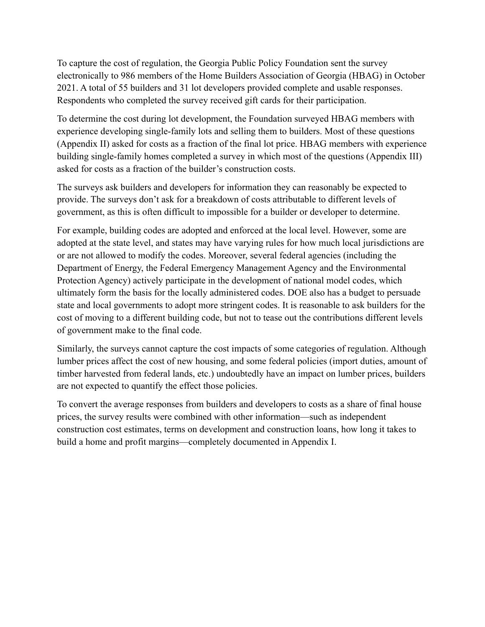To capture the cost of regulation, the Georgia Public Policy Foundation sent the survey electronically to 986 members of the Home Builders Association of Georgia (HBAG) in October 2021. A total of 55 builders and 31 lot developers provided complete and usable responses. Respondents who completed the survey received gift cards for their participation.

To determine the cost during lot development, the Foundation surveyed HBAG members with experience developing single-family lots and selling them to builders. Most of these questions (Appendix II) asked for costs as a fraction of the final lot price. HBAG members with experience building single-family homes completed a survey in which most of the questions (Appendix III) asked for costs as a fraction of the builder's construction costs.

The surveys ask builders and developers for information they can reasonably be expected to provide. The surveys don't ask for a breakdown of costs attributable to different levels of government, as this is often difficult to impossible for a builder or developer to determine.

For example, building codes are adopted and enforced at the local level. However, some are adopted at the state level, and states may have varying rules for how much local jurisdictions are or are not allowed to modify the codes. Moreover, several federal agencies (including the Department of Energy, the Federal Emergency Management Agency and the Environmental Protection Agency) actively participate in the development of national model codes, which ultimately form the basis for the locally administered codes. DOE also has a budget to persuade state and local governments to adopt more stringent codes. It is reasonable to ask builders for the cost of moving to a different building code, but not to tease out the contributions different levels of government make to the final code.

Similarly, the surveys cannot capture the cost impacts of some categories of regulation. Although lumber prices affect the cost of new housing, and some federal policies (import duties, amount of timber harvested from federal lands, etc.) undoubtedly have an impact on lumber prices, builders are not expected to quantify the effect those policies.

To convert the average responses from builders and developers to costs as a share of final house prices, the survey results were combined with other information—such as independent construction cost estimates, terms on development and construction loans, how long it takes to build a home and profit margins—completely documented in Appendix I.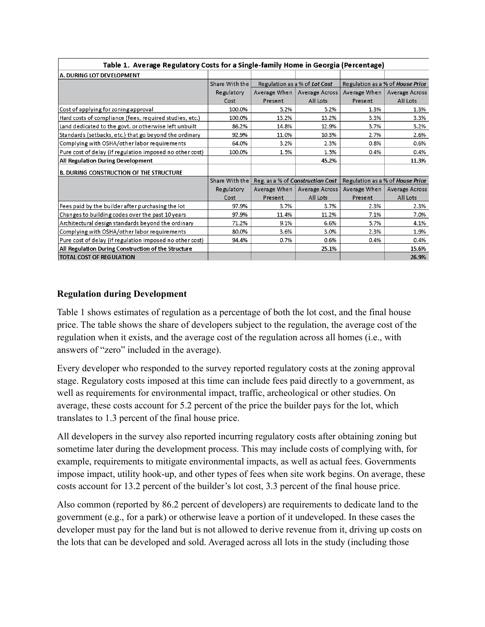| A. DURING LOT DEVELOPMENT                                |                   |                                  |                               |                                  |                               |
|----------------------------------------------------------|-------------------|----------------------------------|-------------------------------|----------------------------------|-------------------------------|
|                                                          | Share With the    | Regulation as a % of Lot Cost    |                               | Regulation as a % of House Price |                               |
|                                                          | Regulatory        |                                  | Average When   Average Across |                                  | Average When   Average Across |
|                                                          | Cost              | Present                          | All Lots                      | Present                          | All Lots                      |
| Cost of applying for zoning approval                     | 100.0%            | 5.2%                             | 5.2%                          | 1.3%                             | 1.3%                          |
| Hard costs of compliance (fees, required studies, etc.)  | 100.0%            | 13.2%                            | 13.2%                         | 3.3%                             | 3.3%                          |
| Land dedicated to the govt. or otherwise left unbuilt    | 86.2%             | 14.8%                            | 12.9%                         | 3.7%                             | 3.2%                          |
| Standards (setbacks, etc.) that go beyond the ordinary   | 92.9%             | 11.0%                            | 10.3%                         | 2.7%                             | 2.6%                          |
| Complying with OSHA/other labor requirements             | 64.0%             | 3.2%                             | 2.3%                          | 0.8%                             | 0.6%                          |
| Pure cost of delay (if regulation imposed no other cost) | 100.0%            | 1.5%                             | 1.5%                          | 0.4%                             | 0.4%                          |
| All Regulation During Development                        |                   |                                  | 45.2%                         |                                  | 11.3%                         |
| <b>B. DURING CONSTRUCTION OF THE STRUCTURE</b>           |                   |                                  |                               |                                  |                               |
|                                                          | Share With the    | Reg. as a % of Construction Cost |                               | Regulation as a % of House Price |                               |
|                                                          | <b>Regulatory</b> | Average When                     | Average Across                |                                  | Average When   Average Across |
|                                                          | Cost              | Present                          | All Lots                      | Present                          | All Lots                      |
| Fees paid by the builder after purchasing the lot        | 97.9%             | 3.7%                             | 3.7%                          | 2.3%                             | 2.3%                          |
| Changes to building codes over the past 10 years         | 97.9%             | 11.4%                            | 11.2%                         | 7.1%                             | 7.0%                          |
| Architectural design standards beyond the ordinary       | 71.2%             | 9.1%                             | 6.6%                          | 5.7%                             | 4.1%                          |
| Complying with OSHA/other labor requirements             | 80.0%             | 3.6%                             | 3.0%                          | 2.3%                             | 1.9%                          |
| Pure cost of delay (if regulation imposed no other cost) | 94.4%             | 0.7%                             | 0.6%                          | 0.4%                             | 0.4%                          |
| All Regulation During Construction of the Structure      |                   |                                  | 25.1%                         |                                  | 15.6%                         |
| TOTAL COST OF REGULATION                                 |                   |                                  |                               |                                  | 26.9%                         |

Table 1. Average Regulatory Costs for a Single-family Home in Georgia (Percentage)

### **Regulation during Development**

Table 1 shows estimates of regulation as a percentage of both the lot cost, and the final house price. The table shows the share of developers subject to the regulation, the average cost of the regulation when it exists, and the average cost of the regulation across all homes (i.e., with answers of "zero" included in the average).

Every developer who responded to the survey reported regulatory costs at the zoning approval stage. Regulatory costs imposed at this time can include fees paid directly to a government, as well as requirements for environmental impact, traffic, archeological or other studies. On average, these costs account for 5.2 percent of the price the builder pays for the lot, which translates to 1.3 percent of the final house price.

All developers in the survey also reported incurring regulatory costs after obtaining zoning but sometime later during the development process. This may include costs of complying with, for example, requirements to mitigate environmental impacts, as well as actual fees. Governments impose impact, utility hook-up, and other types of fees when site work begins. On average, these costs account for 13.2 percent of the builder's lot cost, 3.3 percent of the final house price.

Also common (reported by 86.2 percent of developers) are requirements to dedicate land to the government (e.g., for a park) or otherwise leave a portion of it undeveloped. In these cases the developer must pay for the land but is not allowed to derive revenue from it, driving up costs on the lots that can be developed and sold. Averaged across all lots in the study (including those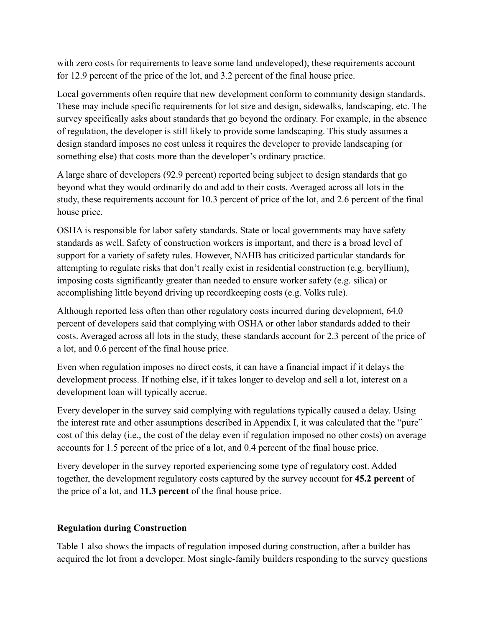with zero costs for requirements to leave some land undeveloped), these requirements account for 12.9 percent of the price of the lot, and 3.2 percent of the final house price.

Local governments often require that new development conform to community design standards. These may include specific requirements for lot size and design, sidewalks, landscaping, etc. The survey specifically asks about standards that go beyond the ordinary. For example, in the absence of regulation, the developer is still likely to provide some landscaping. This study assumes a design standard imposes no cost unless it requires the developer to provide landscaping (or something else) that costs more than the developer's ordinary practice.

A large share of developers (92.9 percent) reported being subject to design standards that go beyond what they would ordinarily do and add to their costs. Averaged across all lots in the study, these requirements account for 10.3 percent of price of the lot, and 2.6 percent of the final house price.

OSHA is responsible for labor safety standards. State or local governments may have safety standards as well. Safety of construction workers is important, and there is a broad level of support for a variety of safety rules. However, NAHB has criticized particular standards for attempting to regulate risks that don't really exist in residential construction (e.g. beryllium), imposing costs significantly greater than needed to ensure worker safety (e.g. silica) or accomplishing little beyond driving up recordkeeping costs (e.g. Volks rule).

Although reported less often than other regulatory costs incurred during development, 64.0 percent of developers said that complying with OSHA or other labor standards added to their costs. Averaged across all lots in the study, these standards account for 2.3 percent of the price of a lot, and 0.6 percent of the final house price.

Even when regulation imposes no direct costs, it can have a financial impact if it delays the development process. If nothing else, if it takes longer to develop and sell a lot, interest on a development loan will typically accrue.

Every developer in the survey said complying with regulations typically caused a delay. Using the interest rate and other assumptions described in Appendix I, it was calculated that the "pure" cost of this delay (i.e., the cost of the delay even if regulation imposed no other costs) on average accounts for 1.5 percent of the price of a lot, and 0.4 percent of the final house price.

Every developer in the survey reported experiencing some type of regulatory cost. Added together, the development regulatory costs captured by the survey account for **45.2 percent** of the price of a lot, and **11.3 percent** of the final house price.

## **Regulation during Construction**

Table 1 also shows the impacts of regulation imposed during construction, after a builder has acquired the lot from a developer. Most single-family builders responding to the survey questions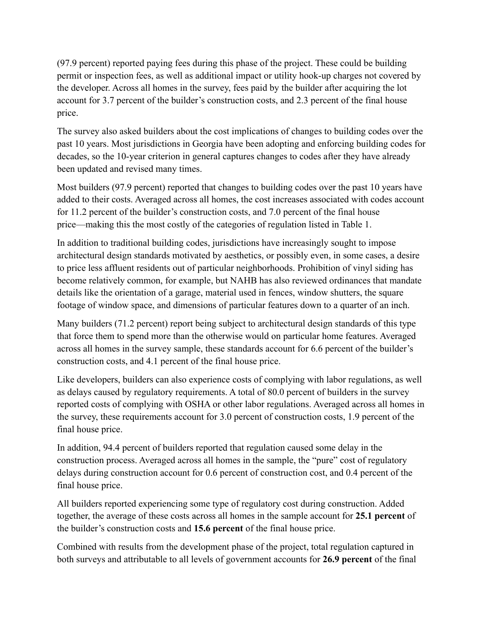(97.9 percent) reported paying fees during this phase of the project. These could be building permit or inspection fees, as well as additional impact or utility hook-up charges not covered by the developer. Across all homes in the survey, fees paid by the builder after acquiring the lot account for 3.7 percent of the builder's construction costs, and 2.3 percent of the final house price.

The survey also asked builders about the cost implications of changes to building codes over the past 10 years. Most jurisdictions in Georgia have been adopting and enforcing building codes for decades, so the 10-year criterion in general captures changes to codes after they have already been updated and revised many times.

Most builders (97.9 percent) reported that changes to building codes over the past 10 years have added to their costs. Averaged across all homes, the cost increases associated with codes account for 11.2 percent of the builder's construction costs, and 7.0 percent of the final house price—making this the most costly of the categories of regulation listed in Table 1.

In addition to traditional building codes, jurisdictions have increasingly sought to impose architectural design standards motivated by aesthetics, or possibly even, in some cases, a desire to price less affluent residents out of particular neighborhoods. Prohibition of vinyl siding has become relatively common, for example, but NAHB has also reviewed ordinances that mandate details like the orientation of a garage, material used in fences, window shutters, the square footage of window space, and dimensions of particular features down to a quarter of an inch.

Many builders (71.2 percent) report being subject to architectural design standards of this type that force them to spend more than the otherwise would on particular home features. Averaged across all homes in the survey sample, these standards account for 6.6 percent of the builder's construction costs, and 4.1 percent of the final house price.

Like developers, builders can also experience costs of complying with labor regulations, as well as delays caused by regulatory requirements. A total of 80.0 percent of builders in the survey reported costs of complying with OSHA or other labor regulations. Averaged across all homes in the survey, these requirements account for 3.0 percent of construction costs, 1.9 percent of the final house price.

In addition, 94.4 percent of builders reported that regulation caused some delay in the construction process. Averaged across all homes in the sample, the "pure" cost of regulatory delays during construction account for 0.6 percent of construction cost, and 0.4 percent of the final house price.

All builders reported experiencing some type of regulatory cost during construction. Added together, the average of these costs across all homes in the sample account for **25.1 percent** of the builder's construction costs and **15.6 percent** of the final house price.

Combined with results from the development phase of the project, total regulation captured in both surveys and attributable to all levels of government accounts for **26.9 percent** of the final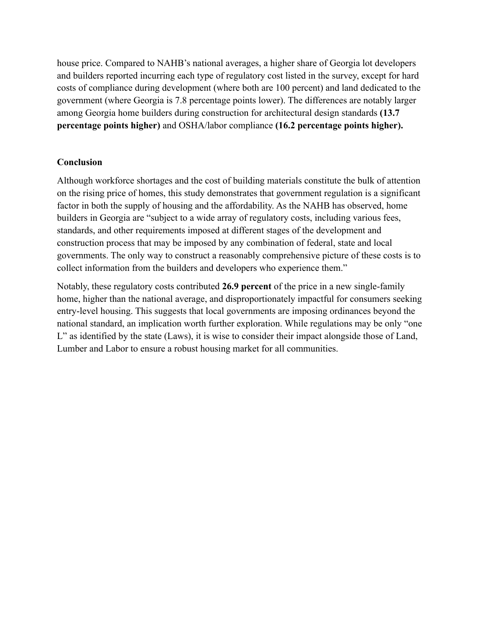house price. Compared to NAHB's national averages, a higher share of Georgia lot developers and builders reported incurring each type of regulatory cost listed in the survey, except for hard costs of compliance during development (where both are 100 percent) and land dedicated to the government (where Georgia is 7.8 percentage points lower). The differences are notably larger among Georgia home builders during construction for architectural design standards **(13.7 percentage points higher)** and OSHA/labor compliance **(16.2 percentage points higher).**

## **Conclusion**

Although workforce shortages and the cost of building materials constitute the bulk of attention on the rising price of homes, this study demonstrates that government regulation is a significant factor in both the supply of housing and the affordability. As the NAHB has observed, home builders in Georgia are "subject to a wide array of regulatory costs, including various fees, standards, and other requirements imposed at different stages of the development and construction process that may be imposed by any combination of federal, state and local governments. The only way to construct a reasonably comprehensive picture of these costs is to collect information from the builders and developers who experience them."

Notably, these regulatory costs contributed **26.9 percent** of the price in a new single-family home, higher than the national average, and disproportionately impactful for consumers seeking entry-level housing. This suggests that local governments are imposing ordinances beyond the national standard, an implication worth further exploration. While regulations may be only "one L" as identified by the state (Laws), it is wise to consider their impact alongside those of Land, Lumber and Labor to ensure a robust housing market for all communities.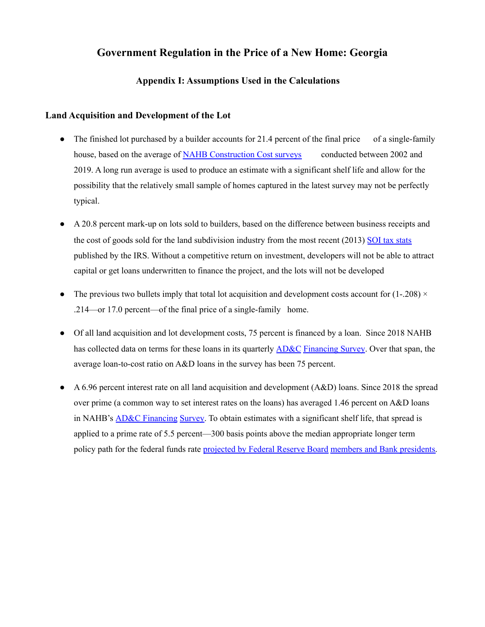### **Appendix I: Assumptions Used in the Calculations**

#### **Land Acquisition and Development of the Lot**

- The finished lot purchased by a builder accounts for 21.4 percent of the final price of a single-family house, based on the average of NAHB Construction Cost surveys conducted between 2002 and 2019. A long run average is used to produce an estimate with a significant shelf life and allow for the possibility that the relatively small sample of homes captured in the latest survey may not be perfectly typical.
- A 20.8 percent mark-up on lots sold to builders, based on the difference between business receipts and the cost of goods sold for the land subdivision industry from the most recent (2013) SOI tax stats published by the IRS. Without a competitive return on investment, developers will not be able to attract capital or get loans underwritten to finance the project, and the lots will not be developed
- The previous two bullets imply that total lot acquisition and development costs account for  $(1-.208) \times$ .214—or 17.0 percent—of the final price of a single-family home.
- Of all land acquisition and lot development costs, 75 percent is financed by a loan. Since 2018 NAHB has collected data on terms for these loans in its quarterly AD&C Financing Survey. Over that span, the average loan-to-cost ratio on A&D loans in the survey has been 75 percent.
- A 6.96 percent interest rate on all land acquisition and development (A&D) loans. Since 2018 the spread over prime (a common way to set interest rates on the loans) has averaged 1.46 percent on A&D loans in NAHB's AD&C Financing Survey. To obtain estimates with a significant shelf life, that spread is applied to a prime rate of 5.5 percent—300 basis points above the median appropriate longer term policy path for the federal funds rate projected by Federal Reserve Board members and Bank presidents.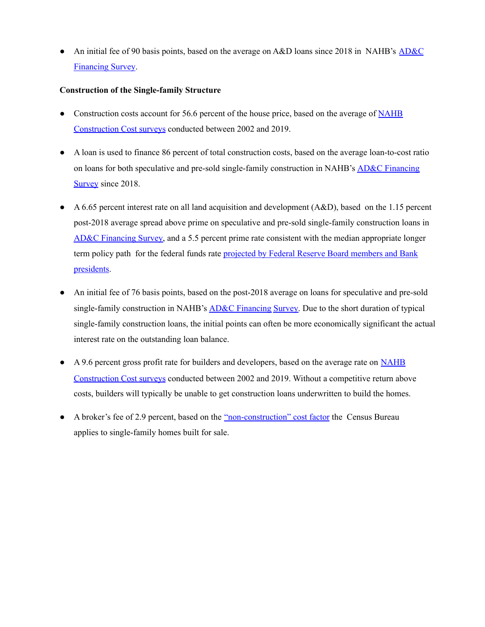• An initial fee of 90 basis points, based on the average on A&D loans since 2018 in NAHB's AD&C Financing Survey.

#### **Construction of the Single-family Structure**

- Construction costs account for 56.6 percent of the house price, based on the average of NAHB Construction Cost surveys conducted between 2002 and 2019.
- A loan is used to finance 86 percent of total construction costs, based on the average loan-to-cost ratio on loans for both speculative and pre-sold single-family construction in NAHB's AD&C Financing Survey since 2018.
- $\bullet$  A 6.65 percent interest rate on all land acquisition and development (A&D), based on the 1.15 percent post-2018 average spread above prime on speculative and pre-sold single-family construction loans in AD&C Financing Survey, and a 5.5 percent prime rate consistent with the median appropriate longer term policy path for the federal funds rate projected by Federal Reserve Board members and Bank presidents.
- An initial fee of 76 basis points, based on the post-2018 average on loans for speculative and pre-sold single-family construction in NAHB's AD&C Financing Survey. Due to the short duration of typical single-family construction loans, the initial points can often be more economically significant the actual interest rate on the outstanding loan balance.
- A 9.6 percent gross profit rate for builders and developers, based on the average rate on NAHB Construction Cost surveys conducted between 2002 and 2019. Without a competitive return above costs, builders will typically be unable to get construction loans underwritten to build the homes.
- A broker's fee of 2.9 percent, based on the "non-construction" cost factor the Census Bureau applies to single-family homes built for sale.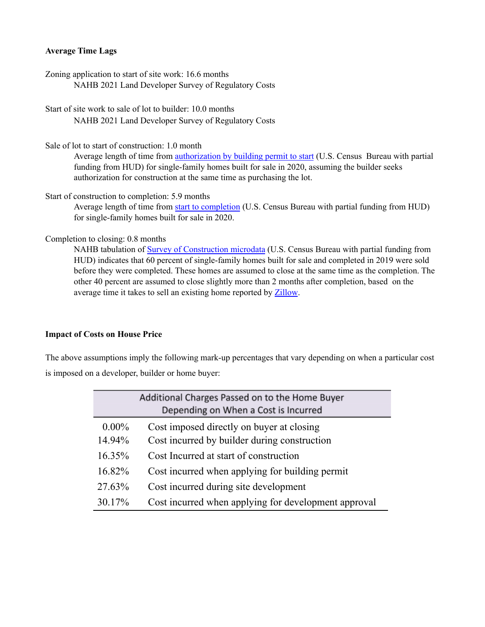#### **Average Time Lags**

Zoning application to start of site work: 16.6 months NAHB 2021 Land Developer Survey of Regulatory Costs

Start of site work to sale of lot to builder: 10.0 months NAHB 2021 Land Developer Survey of Regulatory Costs

Sale of lot to start of construction: 1.0 month

Average length of time from authorization by building permit to start (U.S. Census Bureau with partial funding from HUD) for single-family homes built for sale in 2020, assuming the builder seeks authorization for construction at the same time as purchasing the lot.

Start of construction to completion: 5.9 months

Average length of time from start to completion (U.S. Census Bureau with partial funding from HUD) for single-family homes built for sale in 2020.

Completion to closing: 0.8 months

NAHB tabulation of Survey of Construction microdata (U.S. Census Bureau with partial funding from HUD) indicates that 60 percent of single-family homes built for sale and completed in 2019 were sold before they were completed. These homes are assumed to close at the same time as the completion. The other 40 percent are assumed to close slightly more than 2 months after completion, based on the average time it takes to sell an existing home reported by Zillow.

#### **Impact of Costs on House Price**

The above assumptions imply the following mark-up percentages that vary depending on when a particular cost is imposed on a developer, builder or home buyer:

|           | Additional Charges Passed on to the Home Buyer<br>Depending on When a Cost is Incurred |
|-----------|----------------------------------------------------------------------------------------|
| $0.00\%$  | Cost imposed directly on buyer at closing                                              |
| 14.94%    | Cost incurred by builder during construction                                           |
| $16.35\%$ | Cost Incurred at start of construction                                                 |
| 16.82%    | Cost incurred when applying for building permit                                        |
| 27.63%    | Cost incurred during site development                                                  |
| 30.17%    | Cost incurred when applying for development approval                                   |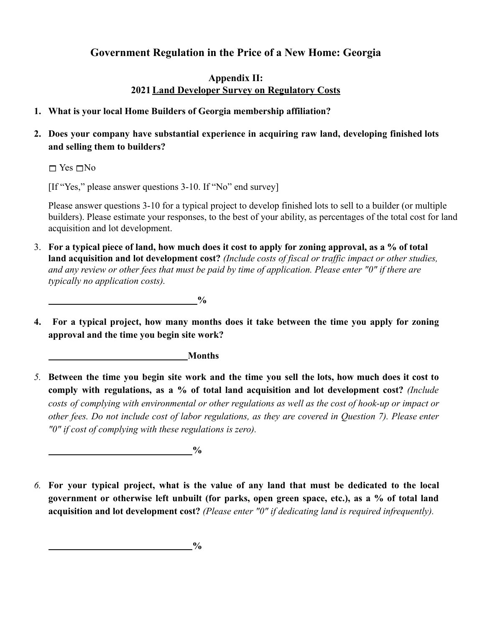## **Appendix II: 2021Land Developer Survey on Regulatory Costs**

## **1. What is your local Home Builders of Georgia membership affiliation?**

## **2. Does your company have substantial experience in acquiring raw land, developing finished lots and selling them to builders?**

 $\Box$  Yes  $\Box$  No

[If "Yes," please answer questions 3-10. If "No" end survey]

Please answer questions 3-10 for a typical project to develop finished lots to sell to a builder (or multiple builders). Please estimate your responses, to the best of your ability, as percentages of the total cost for land acquisition and lot development.

3. **For a typical piece of land, how much does it cost to apply for zoning approval, as a % of total land acquisition and lot development cost?** *(Include costs of fiscal or traffic impact or other studies, and any review or other fees that must be paid by time of application. Please enter "0" if there are typically no application costs).*

**%**

**4. For a typical project, how many months does it take between the time you apply for zoning approval and the time you begin site work?**

**Months**

5. Between the time you begin site work and the time you sell the lots, how much does it cost to **comply with regulations, as a % of total land acquisition and lot development cost?** *(Include* costs of complying with environmental or other regulations as well as the cost of hook-up or impact or other fees. Do not include cost of labor regulations, as they are covered in Question 7). Please enter *"0" if cost of complying with these regulations is zero).*

**%**

6. For your typical project, what is the value of any land that must be dedicated to the local **government or otherwise left unbuilt (for parks, open green space, etc.), as a % of total land acquisition and lot development cost?** *(Please enter "0" if dedicating land is required infrequently).*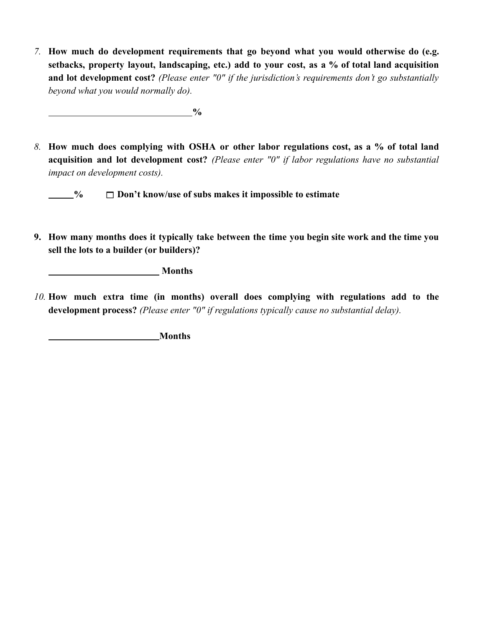*7.* **How much do development requirements that go beyond what you would otherwise do (e.g. setbacks, property layout, landscaping, etc.) add to your cost, as a % of total land acquisition and lot development cost?** *(Please enter "0" if the jurisdiction's requirements don't go substantially beyond what you would normally do).*

*8.* **How much does complying with OSHA or other labor regulations cost, as a % of total land acquisition and lot development cost?** *(Please enter "0" if labor regulations have no substantial impact on development costs).*

**% Don't know/use of subs makes it impossible to estimate**

*(a) (b) (b) (b) (b) (b) (b) (d) (d) (d) (d) (d) (d) (d) (d) (d) (d) (d) (d) (d) (d) (d) (d) (d) (d) (d) (d) (d)* 

9. How many months does it typically take between the time you begin site work and the time you **sell the lots to a builder (or builders)?**

**Months**

*10.* **How much extra time (in months) overall does complying with regulations add to the development process?** *(Please enter "0" if regulations typically cause no substantial delay).*

**Months**